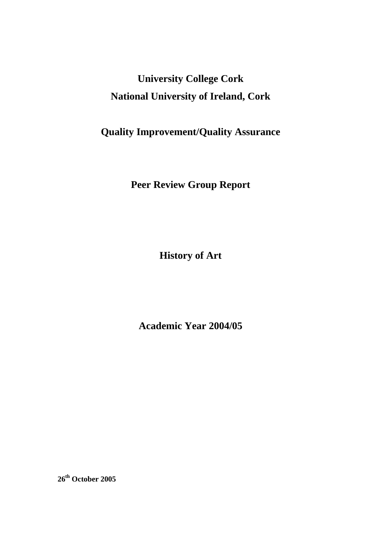# **University College Cork National University of Ireland, Cork**

## **Quality Improvement/Quality Assurance**

**Peer Review Group Report** 

**History of Art** 

**Academic Year 2004/05** 

**26th October 2005**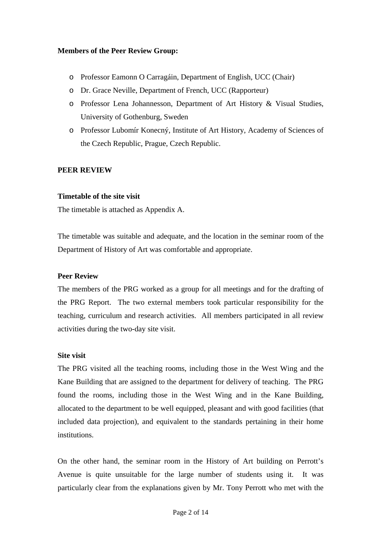#### **Members of the Peer Review Group:**

- o Professor Eamonn O Carragáin, Department of English, UCC (Chair)
- o Dr. Grace Neville, Department of French, UCC (Rapporteur)
- o Professor Lena Johannesson, Department of Art History & Visual Studies, University of Gothenburg, Sweden
- o Professor Lubomír Konecný, Institute of Art History, Academy of Sciences of the Czech Republic, Prague, Czech Republic.

## **PEER REVIEW**

### **Timetable of the site visit**

The timetable is attached as Appendix A.

The timetable was suitable and adequate, and the location in the seminar room of the Department of History of Art was comfortable and appropriate.

## **Peer Review**

The members of the PRG worked as a group for all meetings and for the drafting of the PRG Report. The two external members took particular responsibility for the teaching, curriculum and research activities. All members participated in all review activities during the two-day site visit.

#### **Site visit**

The PRG visited all the teaching rooms, including those in the West Wing and the Kane Building that are assigned to the department for delivery of teaching. The PRG found the rooms, including those in the West Wing and in the Kane Building, allocated to the department to be well equipped, pleasant and with good facilities (that included data projection), and equivalent to the standards pertaining in their home institutions.

On the other hand, the seminar room in the History of Art building on Perrott's Avenue is quite unsuitable for the large number of students using it. It was particularly clear from the explanations given by Mr. Tony Perrott who met with the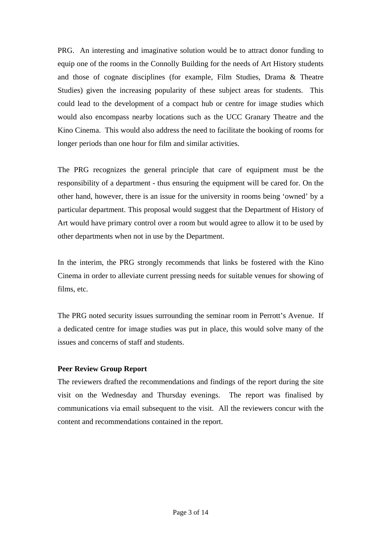PRG. An interesting and imaginative solution would be to attract donor funding to equip one of the rooms in the Connolly Building for the needs of Art History students and those of cognate disciplines (for example, Film Studies, Drama & Theatre Studies) given the increasing popularity of these subject areas for students. This could lead to the development of a compact hub or centre for image studies which would also encompass nearby locations such as the UCC Granary Theatre and the Kino Cinema. This would also address the need to facilitate the booking of rooms for longer periods than one hour for film and similar activities.

The PRG recognizes the general principle that care of equipment must be the responsibility of a department - thus ensuring the equipment will be cared for. On the other hand, however, there is an issue for the university in rooms being 'owned' by a particular department. This proposal would suggest that the Department of History of Art would have primary control over a room but would agree to allow it to be used by other departments when not in use by the Department.

In the interim, the PRG strongly recommends that links be fostered with the Kino Cinema in order to alleviate current pressing needs for suitable venues for showing of films, etc.

The PRG noted security issues surrounding the seminar room in Perrott's Avenue. If a dedicated centre for image studies was put in place, this would solve many of the issues and concerns of staff and students.

## **Peer Review Group Report**

The reviewers drafted the recommendations and findings of the report during the site visit on the Wednesday and Thursday evenings. The report was finalised by communications via email subsequent to the visit. All the reviewers concur with the content and recommendations contained in the report.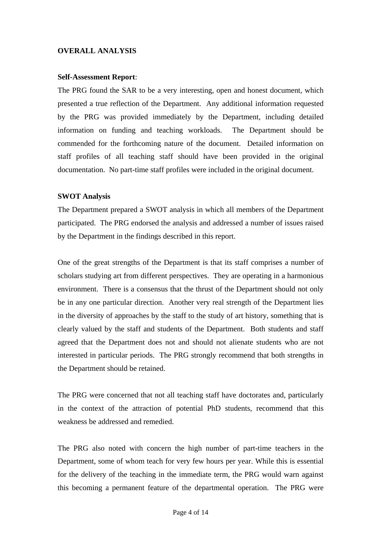### **OVERALL ANALYSIS**

#### **Self-Assessment Report**:

The PRG found the SAR to be a very interesting, open and honest document, which presented a true reflection of the Department. Any additional information requested by the PRG was provided immediately by the Department, including detailed information on funding and teaching workloads. The Department should be commended for the forthcoming nature of the document. Detailed information on staff profiles of all teaching staff should have been provided in the original documentation. No part-time staff profiles were included in the original document.

#### **SWOT Analysis**

The Department prepared a SWOT analysis in which all members of the Department participated. The PRG endorsed the analysis and addressed a number of issues raised by the Department in the findings described in this report.

One of the great strengths of the Department is that its staff comprises a number of scholars studying art from different perspectives. They are operating in a harmonious environment. There is a consensus that the thrust of the Department should not only be in any one particular direction. Another very real strength of the Department lies in the diversity of approaches by the staff to the study of art history, something that is clearly valued by the staff and students of the Department. Both students and staff agreed that the Department does not and should not alienate students who are not interested in particular periods. The PRG strongly recommend that both strengths in the Department should be retained.

The PRG were concerned that not all teaching staff have doctorates and, particularly in the context of the attraction of potential PhD students, recommend that this weakness be addressed and remedied.

The PRG also noted with concern the high number of part-time teachers in the Department, some of whom teach for very few hours per year. While this is essential for the delivery of the teaching in the immediate term, the PRG would warn against this becoming a permanent feature of the departmental operation. The PRG were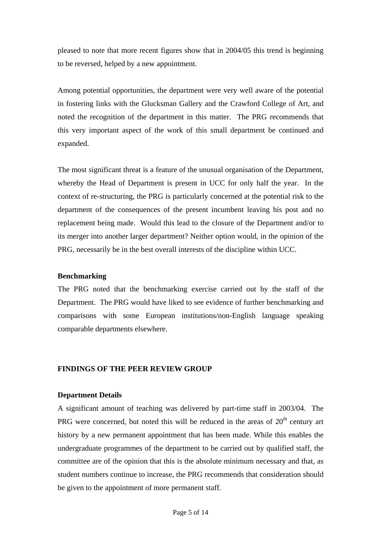pleased to note that more recent figures show that in 2004/05 this trend is beginning to be reversed, helped by a new appointment.

Among potential opportunities, the department were very well aware of the potential in fostering links with the Glucksman Gallery and the Crawford College of Art, and noted the recognition of the department in this matter. The PRG recommends that this very important aspect of the work of this small department be continued and expanded.

The most significant threat is a feature of the unusual organisation of the Department, whereby the Head of Department is present in UCC for only half the year. In the context of re-structuring, the PRG is particularly concerned at the potential risk to the department of the consequences of the present incumbent leaving his post and no replacement being made. Would this lead to the closure of the Department and/or to its merger into another larger department? Neither option would, in the opinion of the PRG, necessarily be in the best overall interests of the discipline within UCC.

#### **Benchmarking**

The PRG noted that the benchmarking exercise carried out by the staff of the Department. The PRG would have liked to see evidence of further benchmarking and comparisons with some European institutions/non-English language speaking comparable departments elsewhere.

## **FINDINGS OF THE PEER REVIEW GROUP**

## **Department Details**

A significant amount of teaching was delivered by part-time staff in 2003/04. The PRG were concerned, but noted this will be reduced in the areas of  $20<sup>th</sup>$  century art history by a new permanent appointment that has been made. While this enables the undergraduate programmes of the department to be carried out by qualified staff, the committee are of the opinion that this is the absolute minimum necessary and that, as student numbers continue to increase, the PRG recommends that consideration should be given to the appointment of more permanent staff.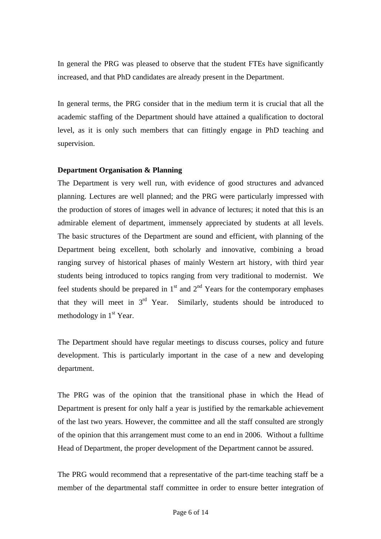In general the PRG was pleased to observe that the student FTEs have significantly increased, and that PhD candidates are already present in the Department.

In general terms, the PRG consider that in the medium term it is crucial that all the academic staffing of the Department should have attained a qualification to doctoral level, as it is only such members that can fittingly engage in PhD teaching and supervision.

#### **Department Organisation & Planning**

The Department is very well run, with evidence of good structures and advanced planning. Lectures are well planned; and the PRG were particularly impressed with the production of stores of images well in advance of lectures; it noted that this is an admirable element of department, immensely appreciated by students at all levels. The basic structures of the Department are sound and efficient, with planning of the Department being excellent, both scholarly and innovative, combining a broad ranging survey of historical phases of mainly Western art history, with third year students being introduced to topics ranging from very traditional to modernist. We feel students should be prepared in  $1<sup>st</sup>$  and  $2<sup>nd</sup>$  Years for the contemporary emphases that they will meet in  $3<sup>rd</sup>$  Year. Similarly, students should be introduced to methodology in  $1<sup>st</sup>$  Year.

The Department should have regular meetings to discuss courses, policy and future development. This is particularly important in the case of a new and developing department.

The PRG was of the opinion that the transitional phase in which the Head of Department is present for only half a year is justified by the remarkable achievement of the last two years. However, the committee and all the staff consulted are strongly of the opinion that this arrangement must come to an end in 2006. Without a fulltime Head of Department, the proper development of the Department cannot be assured.

The PRG would recommend that a representative of the part-time teaching staff be a member of the departmental staff committee in order to ensure better integration of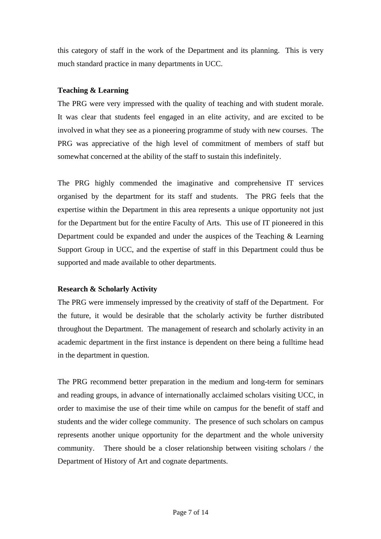this category of staff in the work of the Department and its planning. This is very much standard practice in many departments in UCC.

### **Teaching & Learning**

The PRG were very impressed with the quality of teaching and with student morale. It was clear that students feel engaged in an elite activity, and are excited to be involved in what they see as a pioneering programme of study with new courses. The PRG was appreciative of the high level of commitment of members of staff but somewhat concerned at the ability of the staff to sustain this indefinitely.

The PRG highly commended the imaginative and comprehensive IT services organised by the department for its staff and students. The PRG feels that the expertise within the Department in this area represents a unique opportunity not just for the Department but for the entire Faculty of Arts. This use of IT pioneered in this Department could be expanded and under the auspices of the Teaching & Learning Support Group in UCC, and the expertise of staff in this Department could thus be supported and made available to other departments.

## **Research & Scholarly Activity**

The PRG were immensely impressed by the creativity of staff of the Department. For the future, it would be desirable that the scholarly activity be further distributed throughout the Department. The management of research and scholarly activity in an academic department in the first instance is dependent on there being a fulltime head in the department in question.

The PRG recommend better preparation in the medium and long-term for seminars and reading groups, in advance of internationally acclaimed scholars visiting UCC, in order to maximise the use of their time while on campus for the benefit of staff and students and the wider college community. The presence of such scholars on campus represents another unique opportunity for the department and the whole university community. There should be a closer relationship between visiting scholars / the Department of History of Art and cognate departments.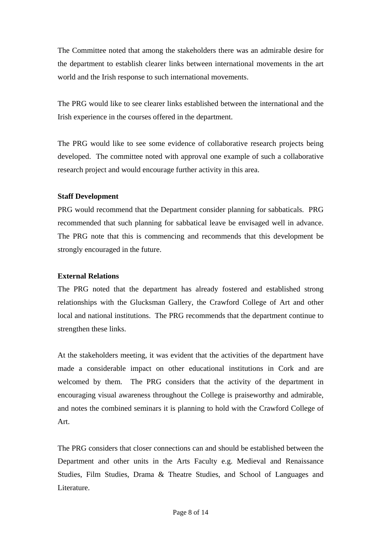The Committee noted that among the stakeholders there was an admirable desire for the department to establish clearer links between international movements in the art world and the Irish response to such international movements.

The PRG would like to see clearer links established between the international and the Irish experience in the courses offered in the department.

The PRG would like to see some evidence of collaborative research projects being developed. The committee noted with approval one example of such a collaborative research project and would encourage further activity in this area.

#### **Staff Development**

PRG would recommend that the Department consider planning for sabbaticals. PRG recommended that such planning for sabbatical leave be envisaged well in advance. The PRG note that this is commencing and recommends that this development be strongly encouraged in the future.

## **External Relations**

The PRG noted that the department has already fostered and established strong relationships with the Glucksman Gallery, the Crawford College of Art and other local and national institutions. The PRG recommends that the department continue to strengthen these links.

At the stakeholders meeting, it was evident that the activities of the department have made a considerable impact on other educational institutions in Cork and are welcomed by them. The PRG considers that the activity of the department in encouraging visual awareness throughout the College is praiseworthy and admirable, and notes the combined seminars it is planning to hold with the Crawford College of Art.

The PRG considers that closer connections can and should be established between the Department and other units in the Arts Faculty e.g. Medieval and Renaissance Studies, Film Studies, Drama & Theatre Studies, and School of Languages and Literature.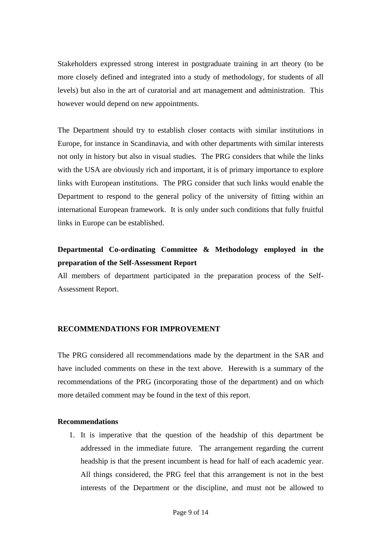Stakeholders expressed strong interest in postgraduate training in art theory (to be more closely defined and integrated into a study of methodology, for students of all levels) but also in the art of curatorial and art management and administration. This however would depend on new appointments.

The Department should try to establish closer contacts with similar institutions in Europe, for instance in Scandinavia, and with other departments with similar interests not only in history but also in visual studies. The PRG considers that while the links with the USA are obviously rich and important, it is of primary importance to explore links with European institutions. The PRG consider that such links would enable the Department to respond to the general policy of the university of fitting within an international European framework. It is only under such conditions that fully fruitful links in Europe can be established.

## **Departmental Co-ordinating Committee & Methodology employed in the preparation of the Self-Assessment Report**

All members of department participated in the preparation process of the Self-Assessment Report.

## **RECOMMENDATIONS FOR IMPROVEMENT**

The PRG considered all recommendations made by the department in the SAR and have included comments on these in the text above. Herewith is a summary of the recommendations of the PRG (incorporating those of the department) and on which more detailed comment may be found in the text of this report.

#### **Recommendations**

1. It is imperative that the question of the headship of this department be addressed in the immediate future. The arrangement regarding the current headship is that the present incumbent is head for half of each academic year. All things considered, the PRG feel that this arrangement is not in the best interests of the Department or the discipline, and must not be allowed to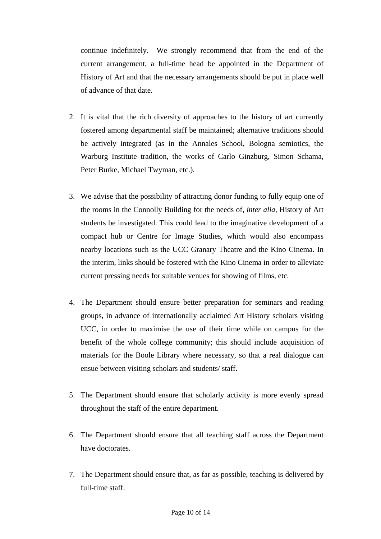continue indefinitely. We strongly recommend that from the end of the current arrangement, a full-time head be appointed in the Department of History of Art and that the necessary arrangements should be put in place well of advance of that date.

- 2. It is vital that the rich diversity of approaches to the history of art currently fostered among departmental staff be maintained; alternative traditions should be actively integrated (as in the Annales School, Bologna semiotics, the Warburg Institute tradition, the works of Carlo Ginzburg, Simon Schama, Peter Burke, Michael Twyman, etc.).
- 3. We advise that the possibility of attracting donor funding to fully equip one of the rooms in the Connolly Building for the needs of, *inter alia,* History of Art students be investigated. This could lead to the imaginative development of a compact hub or Centre for Image Studies, which would also encompass nearby locations such as the UCC Granary Theatre and the Kino Cinema. In the interim, links should be fostered with the Kino Cinema in order to alleviate current pressing needs for suitable venues for showing of films, etc.
- 4. The Department should ensure better preparation for seminars and reading groups, in advance of internationally acclaimed Art History scholars visiting UCC, in order to maximise the use of their time while on campus for the benefit of the whole college community; this should include acquisition of materials for the Boole Library where necessary, so that a real dialogue can ensue between visiting scholars and students/ staff.
- 5. The Department should ensure that scholarly activity is more evenly spread throughout the staff of the entire department.
- 6. The Department should ensure that all teaching staff across the Department have doctorates.
- 7. The Department should ensure that, as far as possible, teaching is delivered by full-time staff.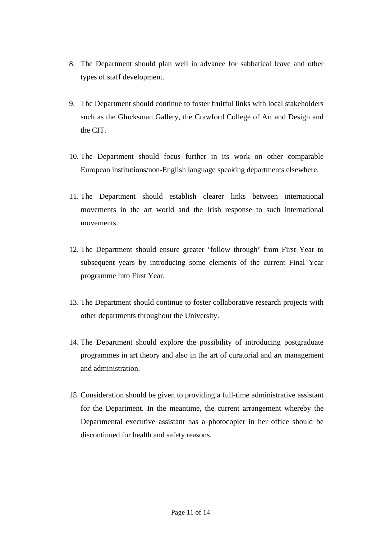- 8. The Department should plan well in advance for sabbatical leave and other types of staff development.
- 9. The Department should continue to foster fruitful links with local stakeholders such as the Glucksman Gallery, the Crawford College of Art and Design and the CIT.
- 10. The Department should focus further in its work on other comparable European institutions/non-English language speaking departments elsewhere.
- 11. The Department should establish clearer links between international movements in the art world and the Irish response to such international movements.
- 12. The Department should ensure greater 'follow through' from First Year to subsequent years by introducing some elements of the current Final Year programme into First Year.
- 13. The Department should continue to foster collaborative research projects with other departments throughout the University.
- 14. The Department should explore the possibility of introducing postgraduate programmes in art theory and also in the art of curatorial and art management and administration.
- 15. Consideration should be given to providing a full-time administrative assistant for the Department. In the meantime, the current arrangement whereby the Departmental executive assistant has a photocopier in her office should be discontinued for health and safety reasons.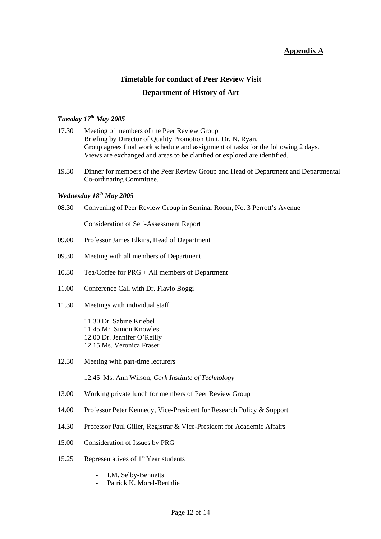## **Appendix A**

## **Timetable for conduct of Peer Review Visit Department of History of Art**

## *Tuesday 17th May 2005*

- 17.30 Meeting of members of the Peer Review Group Briefing by Director of Quality Promotion Unit, Dr. N. Ryan. Group agrees final work schedule and assignment of tasks for the following 2 days. Views are exchanged and areas to be clarified or explored are identified.
- 19.30 Dinner for members of the Peer Review Group and Head of Department and Departmental Co-ordinating Committee.

## *Wednesday 18th May 2005*

08.30 Convening of Peer Review Group in Seminar Room, No. 3 Perrott's Avenue

Consideration of Self-Assessment Report

- 09.00 Professor James Elkins, Head of Department
- 09.30 Meeting with all members of Department
- 10.30 Tea/Coffee for PRG + All members of Department
- 11.00 Conference Call with Dr. Flavio Boggi
- 11.30 Meetings with individual staff

11.30 Dr. Sabine Kriebel 11.45 Mr. Simon Knowles 12.00 Dr. Jennifer O'Reilly 12.15 Ms. Veronica Fraser

12.30 Meeting with part-time lecturers

12.45 Ms. Ann Wilson, *Cork Institute of Technology* 

- 13.00 Working private lunch for members of Peer Review Group
- 14.00 Professor Peter Kennedy, Vice-President for Research Policy & Support
- 14.30 Professor Paul Giller, Registrar & Vice-President for Academic Affairs
- 15.00 Consideration of Issues by PRG
- 15.25 Representatives of  $1<sup>st</sup>$  Year students
	- I.M. Selby-Bennetts
	- Patrick K. Morel-Berthlie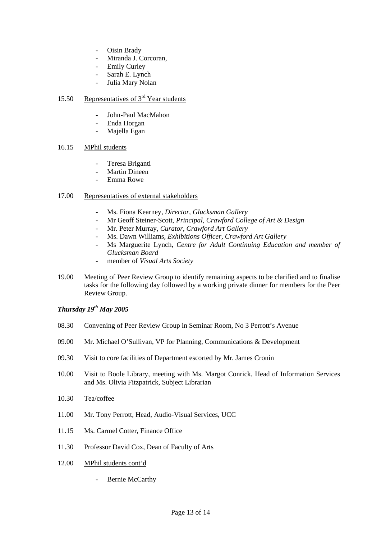- Oisin Brady
- Miranda J. Corcoran,
- **Emily Curley**
- Sarah E. Lynch
- Julia Mary Nolan

#### 15.50 Representatives of 3<sup>rd</sup> Year students

- John-Paul MacMahon
- Enda Horgan
- Majella Egan

#### 16.15 MPhil students

- Teresa Briganti
- Martin Dineen
- Emma Rowe

#### 17.00 Representatives of external stakeholders

- Ms. Fiona Kearney, *Director, Glucksman Gallery*
- Mr Geoff Steiner-Scott, *Principal, Crawford College of Art & Design*
- Mr. Peter Murray, *Curator, Crawford Art Gallery*
- Ms. Dawn Williams, *Exhibitions Officer, Crawford Art Gallery*
- Ms Marguerite Lynch, *Centre for Adult Continuing Education and member of Glucksman Board*
- member of *Visual Arts Society*
- 19.00 Meeting of Peer Review Group to identify remaining aspects to be clarified and to finalise tasks for the following day followed by a working private dinner for members for the Peer Review Group.

#### *Thursday 19th May 2005*

- 08.30 Convening of Peer Review Group in Seminar Room, No 3 Perrott's Avenue
- 09.00 Mr. Michael O'Sullivan, VP for Planning, Communications & Development
- 09.30 Visit to core facilities of Department escorted by Mr. James Cronin
- 10.00 Visit to Boole Library, meeting with Ms. Margot Conrick, Head of Information Services and Ms. Olivia Fitzpatrick, Subject Librarian
- 10.30 Tea/coffee
- 11.00 Mr. Tony Perrott, Head, Audio-Visual Services, UCC
- 11.15 Ms. Carmel Cotter, Finance Office
- 11.30 Professor David Cox, Dean of Faculty of Arts
- 12.00 MPhil students cont'd
	- Bernie McCarthy